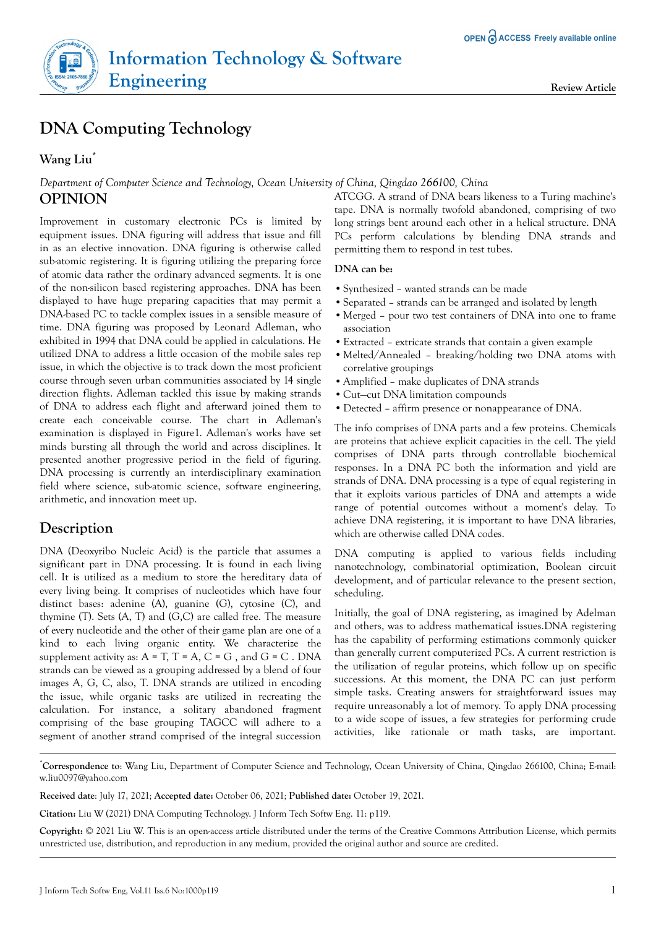# **DNA Computing Technology**

### **Wang Liu\***

*Department of Computer Science and Technology, Ocean University of China, Qingdao 266100, China* **OPINION**

Improvement in customary electronic PCs is limited by equipment issues. DNA figuring will address that issue and fill in as an elective innovation. DNA figuring is otherwise called sub-atomic registering. It is figuring utilizing the preparing force of atomic data rather the ordinary advanced segments. It is one of the non-silicon based registering approaches. DNA has been displayed to have huge preparing capacities that may permit a DNA-based PC to tackle complex issues in a sensible measure of time. DNA figuring was proposed by Leonard Adleman, who exhibited in 1994 that DNA could be applied in calculations. He utilized DNA to address a little occasion of the mobile sales rep issue, in which the objective is to track down the most proficient course through seven urban communities associated by 14 single direction flights. Adleman tackled this issue by making strands of DNA to address each flight and afterward joined them to create each conceivable course. The chart in Adleman's examination is displayed in Figure1. Adleman's works have set minds bursting all through the world and across disciplines. It presented another progressive period in the field of figuring. DNA processing is currently an interdisciplinary examination field where science, sub-atomic science, software engineering, arithmetic, and innovation meet up.

## **Description**

DNA (Deoxyribo Nucleic Acid) is the particle that assumes a significant part in DNA processing. It is found in each living cell. It is utilized as a medium to store the hereditary data of every living being. It comprises of nucleotides which have four distinct bases: adenine (A), guanine (G), cytosine (C), and thymine (T). Sets (A, T) and (G,C) are called free. The measure of every nucleotide and the other of their game plan are one of a kind to each living organic entity. We characterize the supplement activity as:  $A = T$ ,  $T = A$ ,  $C = G$ , and  $G = C$ . DNA strands can be viewed as a grouping addressed by a blend of four images A, G, C, also, T. DNA strands are utilized in encoding the issue, while organic tasks are utilized in recreating the calculation. For instance, a solitary abandoned fragment comprising of the base grouping TAGCC will adhere to a segment of another strand comprised of the integral succession

ATCGG. A strand of DNA bears likeness to a Turing machine's tape. DNA is normally twofold abandoned, comprising of two long strings bent around each other in a helical structure. DNA PCs perform calculations by blending DNA strands and permitting them to respond in test tubes.

#### **DNA can be:**

- **•**Synthesized wanted strands can be made
- **•**Separated strands can be arranged and isolated by length
- **•**Merged pour two test containers of DNA into one to frame association
- **•**Extracted extricate strands that contain a given example
- **•**Melted/Annealed breaking/holding two DNA atoms with correlative groupings
- **•**Amplified make duplicates of DNA strands
- **•**Cut—cut DNA limitation compounds
- **•**Detected affirm presence or nonappearance of DNA.

The info comprises of DNA parts and a few proteins. Chemicals are proteins that achieve explicit capacities in the cell. The yield comprises of DNA parts through controllable biochemical responses. In a DNA PC both the information and yield are strands of DNA. DNA processing is a type of equal registering in that it exploits various particles of DNA and attempts a wide range of potential outcomes without a moment's delay. To achieve DNA registering, it is important to have DNA libraries, which are otherwise called DNA codes.

DNA computing is applied to various fields including nanotechnology, combinatorial optimization, Boolean circuit development, and of particular relevance to the present section, scheduling.

Initially, the goal of DNA registering, as imagined by Adelman and others, was to address mathematical issues.DNA registering has the capability of performing estimations commonly quicker than generally current computerized PCs. A current restriction is the utilization of regular proteins, which follow up on specific successions. At this moment, the DNA PC can just perform simple tasks. Creating answers for straightforward issues may require unreasonably a lot of memory. To apply DNA processing to a wide scope of issues, a few strategies for performing crude activities, like rationale or math tasks, are important.

\***Correspondence to**: Wang Liu, Department of Computer Science and Technology, Ocean University of China, Qingdao 266100, China; E-mail: w.liu0097@yahoo.com

**Received date**: July 17, 2021*;* **Accepted date:** October 06, 2021*;* **Published date:** October 19, 2021.

**Citation:** Liu W (2021) DNA Computing Technology. J Inform Tech Softw Eng. 11: p119.

**Copyright:** © 2021 Liu W. This is an open-access article distributed under the terms of the Creative Commons Attribution License, which permits unrestricted use, distribution, and reproduction in any medium, provided the original author and source are credited.